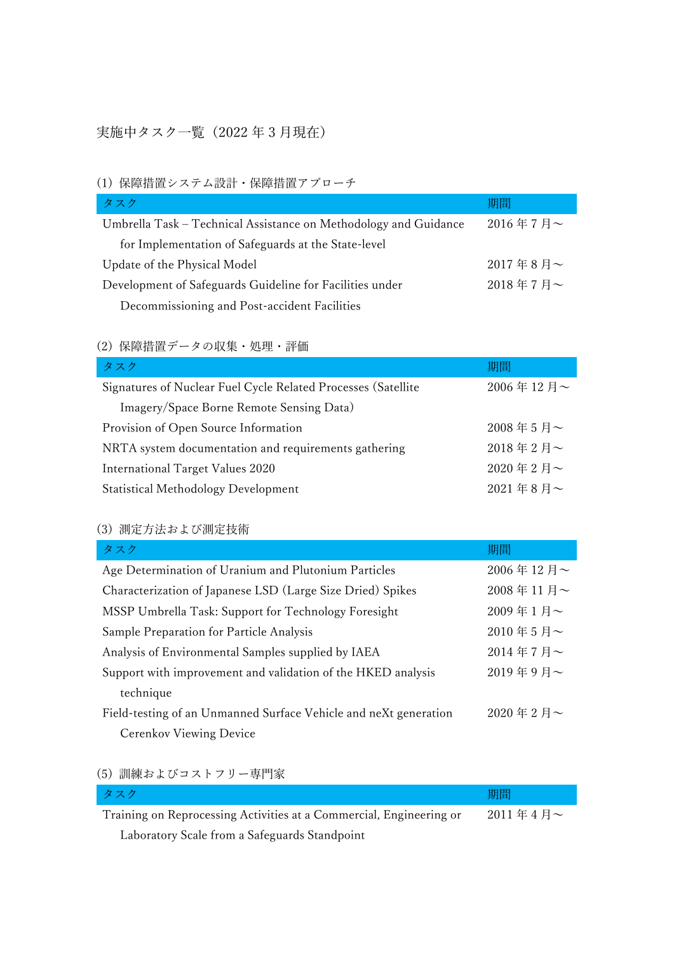### 実施中タスク一覧(2022 年 3 月現在)

#### (1) 保障措置システム設計・保障措置アプローチ

| タスク                                                              | 期間          |
|------------------------------------------------------------------|-------------|
| Umbrella Task – Technical Assistance on Methodology and Guidance | $2016$ 年7月~ |
| for Implementation of Safeguards at the State-level              |             |
| Update of the Physical Model                                     | $2017$ 年8月~ |
| Development of Safeguards Guideline for Facilities under         | 2018年7月~    |
| Decommissioning and Post-accident Facilities                     |             |

# (2) 保障措置データの収集・処理・評価

| タスク                                                           | 期間          |
|---------------------------------------------------------------|-------------|
| Signatures of Nuclear Fuel Cycle Related Processes (Satellite | 2006年12月~   |
| Imagery/Space Borne Remote Sensing Data)                      |             |
| Provision of Open Source Information                          | $2008$ 年5月~ |
| NRTA system documentation and requirements gathering          | 2018年2月~    |
| International Target Values 2020                              | 2020年2月~    |
| <b>Statistical Methodology Development</b>                    | 2021年8月~    |

#### (3) 測定方法および測定技術

| タスク                                                              | 期間        |
|------------------------------------------------------------------|-----------|
| Age Determination of Uranium and Plutonium Particles             | 2006年12月~ |
| Characterization of Japanese LSD (Large Size Dried) Spikes       | 2008年11月~ |
| MSSP Umbrella Task: Support for Technology Foresight             | 2009年1月~  |
| Sample Preparation for Particle Analysis                         | 2010年5月~  |
| Analysis of Environmental Samples supplied by IAEA               | 2014年7月~  |
| Support with improvement and validation of the HKED analysis     | 2019年9月~  |
| technique                                                        |           |
| Field-testing of an Unmanned Surface Vehicle and neXt generation | 2020年2月~  |
| Cerenkov Viewing Device                                          |           |

### (5) 訓練およびコストフリー専門家

| タスク                                                                 | 期間       |
|---------------------------------------------------------------------|----------|
| Training on Reprocessing Activities at a Commercial, Engineering or | 2011年4月~ |
| Laboratory Scale from a Safeguards Standpoint                       |          |